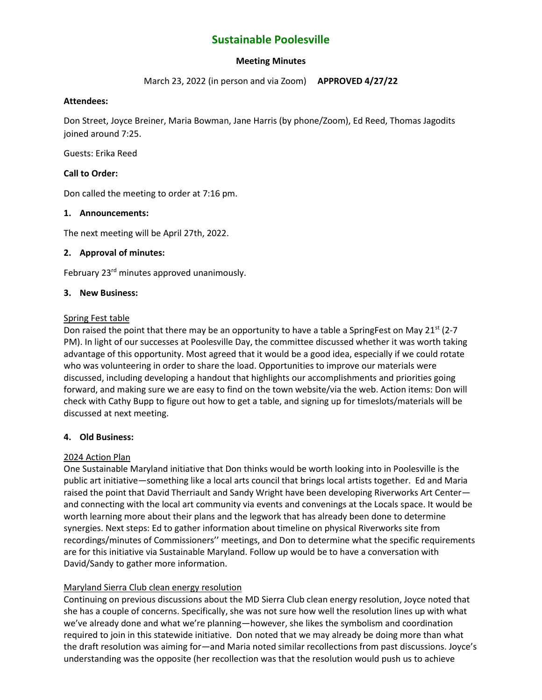# **Sustainable Poolesville**

# **Meeting Minutes**

March 23, 2022 (in person and via Zoom) **APPROVED 4/27/22**

#### **Attendees:**

Don Street, Joyce Breiner, Maria Bowman, Jane Harris (by phone/Zoom), Ed Reed, Thomas Jagodits joined around 7:25.

Guests: Erika Reed

## **Call to Order:**

Don called the meeting to order at 7:16 pm.

#### **1. Announcements:**

The next meeting will be April 27th, 2022.

## **2. Approval of minutes:**

February 23<sup>rd</sup> minutes approved unanimously.

#### **3. New Business:**

#### Spring Fest table

Don raised the point that there may be an opportunity to have a table a SpringFest on May 21<sup>st</sup> (2-7) PM). In light of our successes at Poolesville Day, the committee discussed whether it was worth taking advantage of this opportunity. Most agreed that it would be a good idea, especially if we could rotate who was volunteering in order to share the load. Opportunities to improve our materials were discussed, including developing a handout that highlights our accomplishments and priorities going forward, and making sure we are easy to find on the town website/via the web. Action items: Don will check with Cathy Bupp to figure out how to get a table, and signing up for timeslots/materials will be discussed at next meeting.

## **4. Old Business:**

## 2024 Action Plan

One Sustainable Maryland initiative that Don thinks would be worth looking into in Poolesville is the public art initiative—something like a local arts council that brings local artists together. Ed and Maria raised the point that David Therriault and Sandy Wright have been developing Riverworks Art Center and connecting with the local art community via events and convenings at the Locals space. It would be worth learning more about their plans and the legwork that has already been done to determine synergies. Next steps: Ed to gather information about timeline on physical Riverworks site from recordings/minutes of Commissioners'' meetings, and Don to determine what the specific requirements are for this initiative via Sustainable Maryland. Follow up would be to have a conversation with David/Sandy to gather more information.

## Maryland Sierra Club clean energy resolution

Continuing on previous discussions about the MD Sierra Club clean energy resolution, Joyce noted that she has a couple of concerns. Specifically, she was not sure how well the resolution lines up with what we've already done and what we're planning—however, she likes the symbolism and coordination required to join in this statewide initiative. Don noted that we may already be doing more than what the draft resolution was aiming for—and Maria noted similar recollections from past discussions. Joyce's understanding was the opposite (her recollection was that the resolution would push us to achieve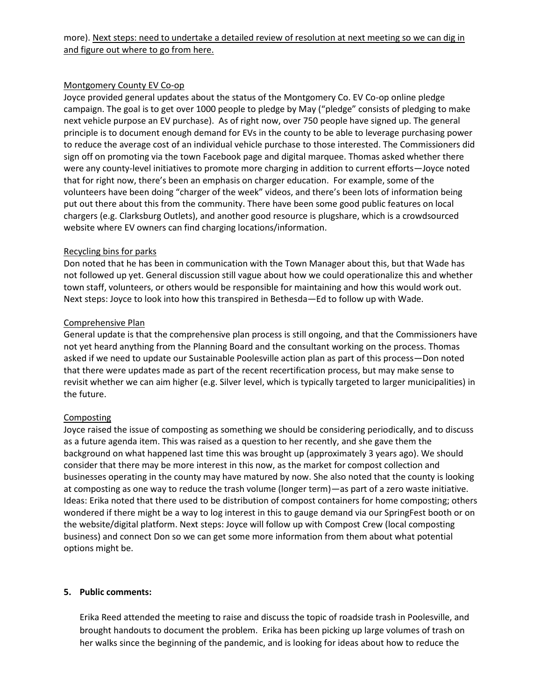# Montgomery County EV Co-op

Joyce provided general updates about the status of the Montgomery Co. EV Co-op online pledge campaign. The goal is to get over 1000 people to pledge by May ("pledge" consists of pledging to make next vehicle purpose an EV purchase). As of right now, over 750 people have signed up. The general principle is to document enough demand for EVs in the county to be able to leverage purchasing power to reduce the average cost of an individual vehicle purchase to those interested. The Commissioners did sign off on promoting via the town Facebook page and digital marquee. Thomas asked whether there were any county-level initiatives to promote more charging in addition to current efforts—Joyce noted that for right now, there's been an emphasis on charger education. For example, some of the volunteers have been doing "charger of the week" videos, and there's been lots of information being put out there about this from the community. There have been some good public features on local chargers (e.g. Clarksburg Outlets), and another good resource is plugshare, which is a crowdsourced website where EV owners can find charging locations/information.

## Recycling bins for parks

Don noted that he has been in communication with the Town Manager about this, but that Wade has not followed up yet. General discussion still vague about how we could operationalize this and whether town staff, volunteers, or others would be responsible for maintaining and how this would work out. Next steps: Joyce to look into how this transpired in Bethesda—Ed to follow up with Wade.

## Comprehensive Plan

General update is that the comprehensive plan process is still ongoing, and that the Commissioners have not yet heard anything from the Planning Board and the consultant working on the process. Thomas asked if we need to update our Sustainable Poolesville action plan as part of this process—Don noted that there were updates made as part of the recent recertification process, but may make sense to revisit whether we can aim higher (e.g. Silver level, which is typically targeted to larger municipalities) in the future.

# **Composting**

Joyce raised the issue of composting as something we should be considering periodically, and to discuss as a future agenda item. This was raised as a question to her recently, and she gave them the background on what happened last time this was brought up (approximately 3 years ago). We should consider that there may be more interest in this now, as the market for compost collection and businesses operating in the county may have matured by now. She also noted that the county is looking at composting as one way to reduce the trash volume (longer term)—as part of a zero waste initiative. Ideas: Erika noted that there used to be distribution of compost containers for home composting; others wondered if there might be a way to log interest in this to gauge demand via our SpringFest booth or on the website/digital platform. Next steps: Joyce will follow up with Compost Crew (local composting business) and connect Don so we can get some more information from them about what potential options might be.

## **5. Public comments:**

Erika Reed attended the meeting to raise and discuss the topic of roadside trash in Poolesville, and brought handouts to document the problem. Erika has been picking up large volumes of trash on her walks since the beginning of the pandemic, and is looking for ideas about how to reduce the